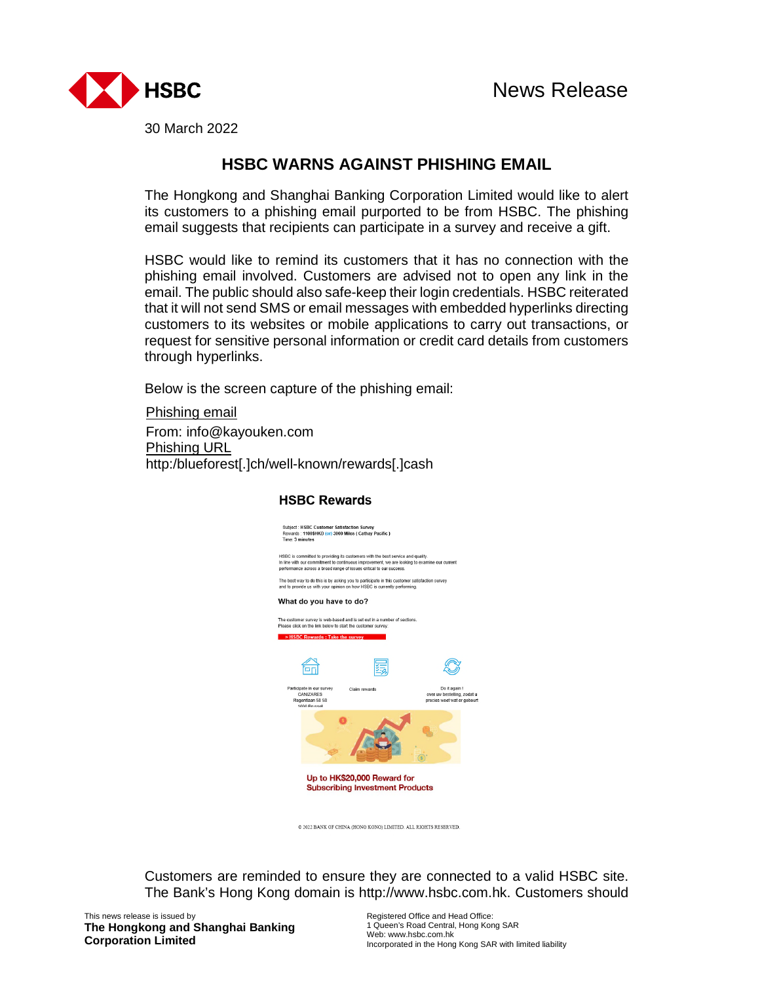

30 March 2022

## **HSBC WARNS AGAINST PHISHING EMAIL**

The Hongkong and Shanghai Banking Corporation Limited would like to alert its customers to a phishing email purported to be from HSBC. The phishing email suggests that recipients can participate in a survey and receive a gift.

HSBC would like to remind its customers that it has no connection with the phishing email involved. Customers are advised not to open any link in the email. The public should also safe-keep their login credentials. HSBC reiterated that it will not send SMS or email messages with embedded hyperlinks directing customers to its websites or mobile applications to carry out transactions, or request for sensitive personal information or credit card details from customers through hyperlinks.

Below is the screen capture of the phishing email:

Phishing email From: info@kayouken.com Phishing URL http:/blueforest[.]ch/well-known/rewards[.]cash



@ 2022 BANK OF CHINA (HONG KONG) LIMITED. ALL RIGHTS RESERVED.

Customers are reminded to ensure they are connected to a valid HSBC site. The Bank's Hong Kong domain is http://www.hsbc.com.hk. Customers should